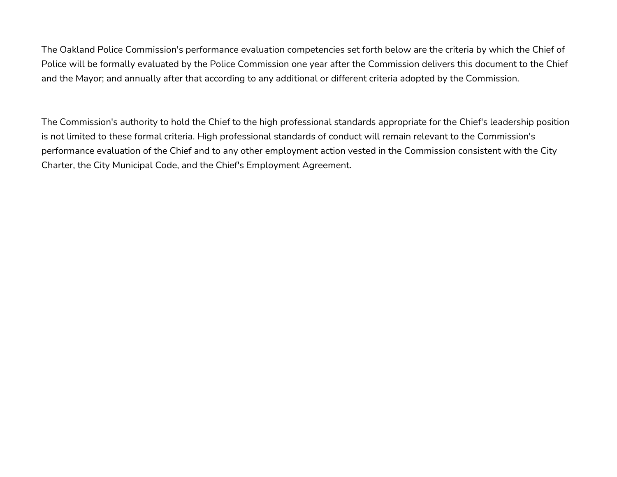The Oakland Police Commission's performance evaluation competencies set forth below are the criteria by which the Chief of Police will be formally evaluated by the Police Commission one year after the Commission delivers this document to the Chief and the Mayor; and annually after that according to any additional or different criteria adopted by the Commission.

The Commission's authority to hold the Chief to the high professional standards appropriate for the Chief's leadership position is not limited to these formal criteria. High professional standards of conduct will remain relevant to the Commission's performance evaluation of the Chief and to any other employment action vested in the Commission consistent with the City Charter, the City Municipal Code, and the Chief's Employment Agreement.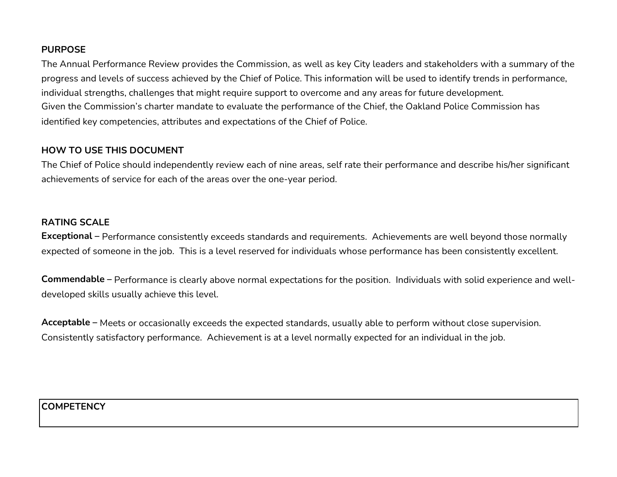#### **PURPOSE**

The Annual Performance Review provides the Commission, as well as key City leaders and stakeholders with a summary of the progress and levels of success achieved by the Chief of Police. This information will be used to identify trends in performance, individual strengths, challenges that might require support to overcome and any areas for future development. Given the Commission's charter mandate to evaluate the performance of the Chief, the Oakland Police Commission has identified key competencies, attributes and expectations of the Chief of Police.

### **HOW TO USE THIS DOCUMENT**

The Chief of Police should independently review each of nine areas, self rate their performance and describe his/her significant achievements of service for each of the areas over the one-year period.

### **RATING SCALE**

**Exceptional** – Performance consistently exceeds standards and requirements. Achievements are well beyond those normally expected of someone in the job. This is a level reserved for individuals whose performance has been consistently excellent.

**Commendable –** Performance is clearly above normal expectations for the position. Individuals with solid experience and welldeveloped skills usually achieve this level.

**Acceptable –** Meets or occasionally exceeds the expected standards, usually able to perform without close supervision. Consistently satisfactory performance. Achievement is at a level normally expected for an individual in the job.

**COMPETENCY**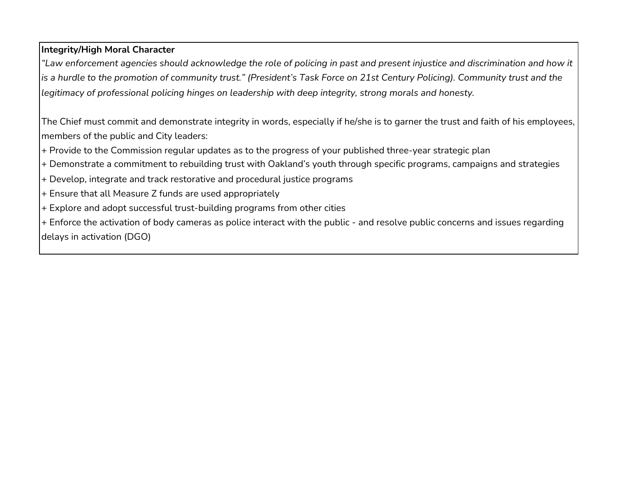# **Integrity/High Moral Character**

*"Law enforcement agencies should acknowledge the role of policing in past and present injustice and discrimination and how it is a hurdle to the promotion of community trust." (President's Task Force on 21st Century Policing). Community trust and the legitimacy of professional policing hinges on leadership with deep integrity, strong morals and honesty.*

The Chief must commit and demonstrate integrity in words, especially if he/she is to garner the trust and faith of his employees, members of the public and City leaders:

+ Provide to the Commission regular updates as to the progress of your published three-year strategic plan

- + Demonstrate a commitment to rebuilding trust with Oakland's youth through specific programs, campaigns and strategies
- + Develop, integrate and track restorative and procedural justice programs
- + Ensure that all Measure Z funds are used appropriately
- + Explore and adopt successful trust-building programs from other cities

+ Enforce the activation of body cameras as police interact with the public - and resolve public concerns and issues regarding delays in activation (DGO)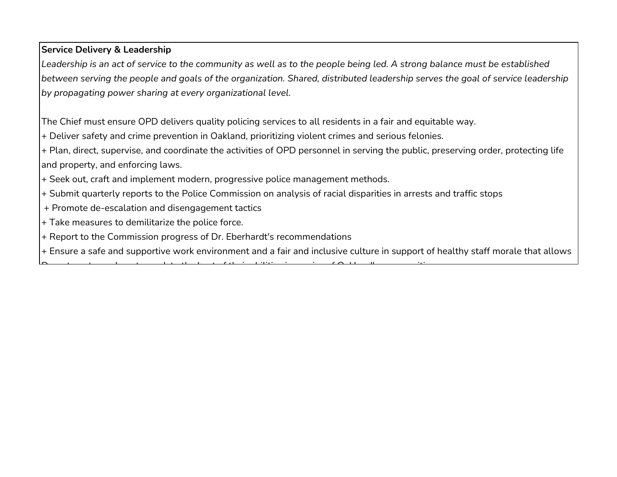# **Service Delivery & Leadership**

Leadership is an act of service to the community as well as to the people being led. A strong balance must be established *between serving the people and goals of the organization. Shared, distributed leadership serves the goal of service leadership by propagating power sharing at every organizational level.* 

The Chief must ensure OPD delivers quality policing services to all residents in a fair and equitable way.

+ Deliver safety and crime prevention in Oakland, prioritizing violent crimes and serious felonies.

D t t t t bilities that the film i in the second description of  $\mathcal{O}(1)$ 

+ Plan, direct, supervise, and coordinate the activities of OPD personnel in serving the public, preserving order, protecting life and property, and enforcing laws.

- + Seek out, craft and implement modern, progressive police management methods.
- + Submit quarterly reports to the Police Commission on analysis of racial disparities in arrests and traffic stops
- + Promote de-escalation and disengagement tactics
- + Take measures to demilitarize the police force.
- + Report to the Commission progress of Dr. Eberhardt's recommendations
- + Ensure a safe and supportive work environment and a fair and inclusive culture in support of healthy staff morale that allows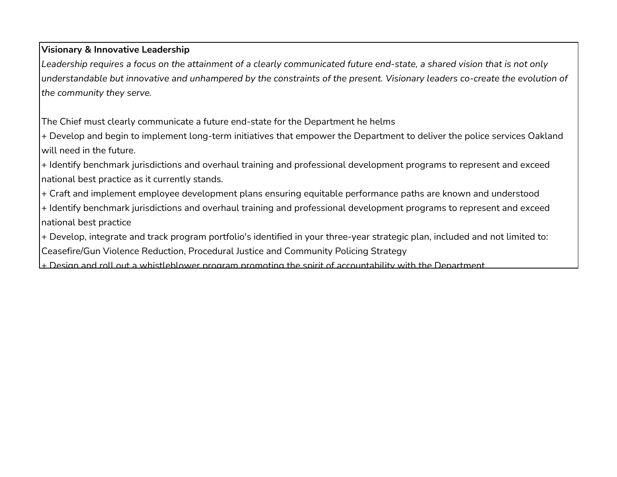## **Visionary & Innovative Leadership**

*Leadership requires a focus on the attainment of a clearly communicated future end-state, a shared vision that is not only understandable but innovative and unhampered by the constraints of the present. Visionary leaders co-create the evolution of the community they serve.* 

The Chief must clearly communicate a future end-state for the Department he helms

+ Develop and begin to implement long-term initiatives that empower the Department to deliver the police services Oakland will need in the future.

+ Identify benchmark jurisdictions and overhaul training and professional development programs to represent and exceed national best practice as it currently stands.

+ Craft and implement employee development plans ensuring equitable performance paths are known and understood

+ Identify benchmark jurisdictions and overhaul training and professional development programs to represent and exceed national best practice

+ Develop, integrate and track program portfolio's identified in your three-year strategic plan, included and not limited to: Ceasefire/Gun Violence Reduction, Procedural Justice and Community Policing Strategy

 $+$  Design and roll out a whistleblower program promoting the spirit of accountability with the Department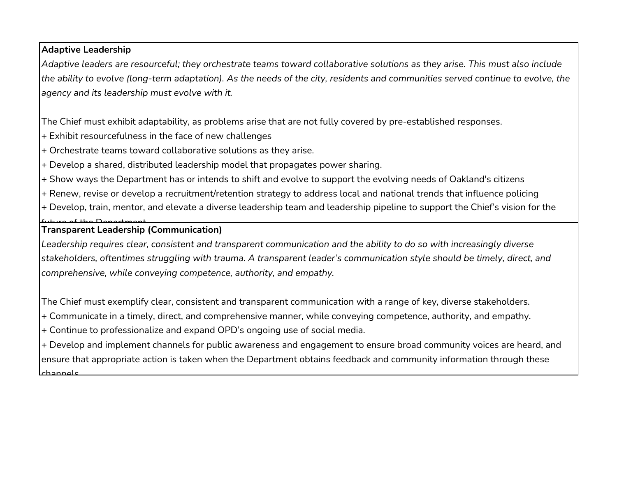## **Adaptive Leadership**

*Adaptive leaders are resourceful; they orchestrate teams toward collaborative solutions as they arise. This must also include the ability to evolve (long-term adaptation). As the needs of the city, residents and communities served continue to evolve, the agency and its leadership must evolve with it.* 

The Chief must exhibit adaptability, as problems arise that are not fully covered by pre-established responses.

+ Exhibit resourcefulness in the face of new challenges

+ Orchestrate teams toward collaborative solutions as they arise.

+ Develop a shared, distributed leadership model that propagates power sharing.

+ Show ways the Department has or intends to shift and evolve to support the evolving needs of Oakland's citizens

+ Renew, revise or develop a recruitment/retention strategy to address local and national trends that influence policing

+ Develop, train, mentor, and elevate a diverse leadership team and leadership pipeline to support the Chief's vision for the

# future of the Department

### **Transparent Leadership (Communication)**

*Leadership requires clear, consistent and transparent communication and the ability to do so with increasingly diverse stakeholders, oftentimes struggling with trauma. A transparent leader's communication style should be timely, direct, and comprehensive, while conveying competence, authority, and empathy.*

The Chief must exemplify clear, consistent and transparent communication with a range of key, diverse stakeholders.

+ Communicate in a timely, direct, and comprehensive manner, while conveying competence, authority, and empathy.

+ Continue to professionalize and expand OPD's ongoing use of social media.

+ Develop and implement channels for public awareness and engagement to ensure broad community voices are heard, and ensure that appropriate action is taken when the Department obtains feedback and community information through these channels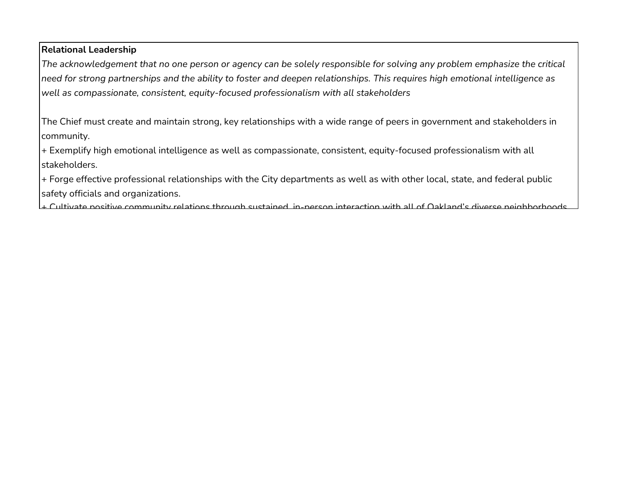### **Relational Leadership**

*The acknowledgement that no one person or agency can be solely responsible for solving any problem emphasize the critical need for strong partnerships and the ability to foster and deepen relationships. This requires high emotional intelligence as well as compassionate, consistent, equity-focused professionalism with all stakeholders*

The Chief must create and maintain strong, key relationships with a wide range of peers in government and stakeholders in community.

+ Exemplify high emotional intelligence as well as compassionate, consistent, equity-focused professionalism with all stakeholders.

+ Forge effective professional relationships with the City departments as well as with other local, state, and federal public safety officials and organizations.

+ Cultivate positive community relations through sustained in-person interaction with all of Oakland's diverse neighborhoods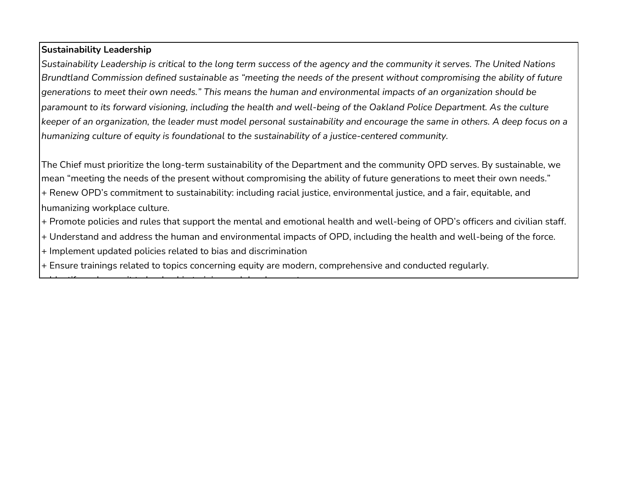## **Sustainability Leadership**

*Sustainability Leadership is critical to the long term success of the agency and the community it serves. The United Nations Brundtland Commission defined sustainable as "meeting the needs of the present without compromising the ability of future generations to meet their own needs." This means the human and environmental impacts of an organization should be paramount to its forward visioning, including the health and well-being of the Oakland Police Department. As the culture keeper of an organization, the leader must model personal sustainability and encourage the same in others. A deep focus on a humanizing culture of equity is foundational to the sustainability of a justice-centered community.* 

The Chief must prioritize the long-term sustainability of the Department and the community OPD serves. By sustainable, we mean "meeting the needs of the present without compromising the ability of future generations to meet their own needs."

+ Renew OPD's commitment to sustainability: including racial justice, environmental justice, and a fair, equitable, and humanizing workplace culture.

- + Promote policies and rules that support the mental and emotional health and well-being of OPD's officers and civilian staff.
- + Understand and address the human and environmental impacts of OPD, including the health and well-being of the force.
- + Implement updated policies related to bias and discrimination

Id tif d'an de la distinction de la titula de la titula de la titula de la titula de la titula de la titula de<br>Estados de la titula de la titula de la titula de la titula de la titula de la titula de la titula de la titul

+ Ensure trainings related to topics concerning equity are modern, comprehensive and conducted regularly.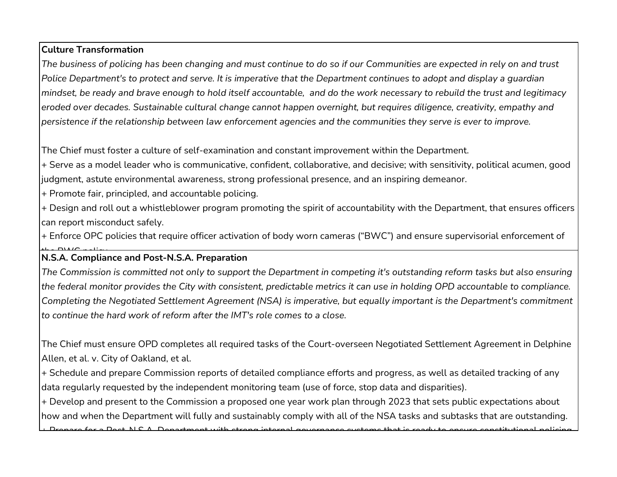## **Culture Transformation**

*The business of policing has been changing and must continue to do so if our Communities are expected in rely on and trust Police Department's to protect and serve. It is imperative that the Department continues to adopt and display a guardian mindset, be ready and brave enough to hold itself accountable, and do the work necessary to rebuild the trust and legitimacy eroded over decades. Sustainable cultural change cannot happen overnight, but requires diligence, creativity, empathy and persistence if the relationship between law enforcement agencies and the communities they serve is ever to improve.*

The Chief must foster a culture of self-examination and constant improvement within the Department.

+ Serve as a model leader who is communicative, confident, collaborative, and decisive; with sensitivity, political acumen, good judgment, astute environmental awareness, strong professional presence, and an inspiring demeanor.

+ Promote fair, principled, and accountable policing.

+ Design and roll out a whistleblower program promoting the spirit of accountability with the Department, that ensures officers can report misconduct safely.

+ Enforce OPC policies that require officer activation of body worn cameras ("BWC") and ensure supervisorial enforcement of

## **N.S.A. Compliance and Post-N.S.A. Preparation**

*The Commission is committed not only to support the Department in competing it's outstanding reform tasks but also ensuring the federal monitor provides the City with consistent, predictable metrics it can use in holding OPD accountable to compliance. Completing the Negotiated Settlement Agreement (NSA) is imperative, but equally important is the Department's commitment to continue the hard work of reform after the IMT's role comes to a close.* 

The Chief must ensure OPD completes all required tasks of the Court-overseen Negotiated Settlement Agreement in Delphine Allen, et al. v. City of Oakland, et al.

+ Schedule and prepare Commission reports of detailed compliance efforts and progress, as well as detailed tracking of any data regularly requested by the independent monitoring team (use of force, stop data and disparities).

+ Develop and present to the Commission a proposed one year work plan through 2023 that sets public expectations about how and when the Department will fully and sustainably comply with all of the NSA tasks and subtasks that are outstanding.

 $+$  Drepare for a Deet N C A Department with strong internal governance systems that is ready to ensure constitutional policing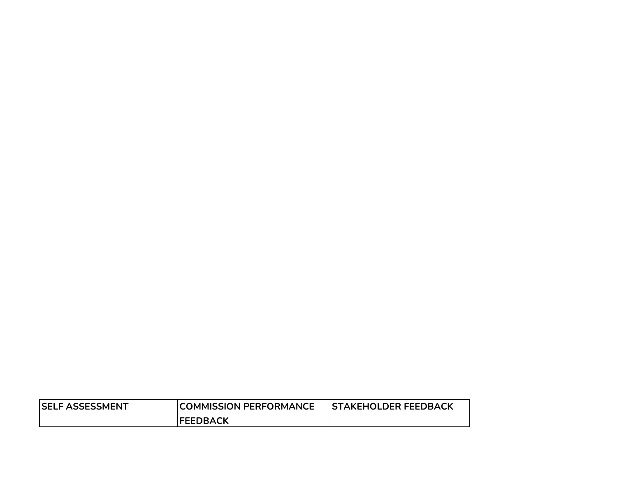| <b>ISELF ASSESSMENT</b> | <b>ICOMMISSION PERFORMANCE</b> | <b>ISTAKEHOLDER FEEDBACK</b> |
|-------------------------|--------------------------------|------------------------------|
|                         | <b>IFEEDBACK</b>               |                              |